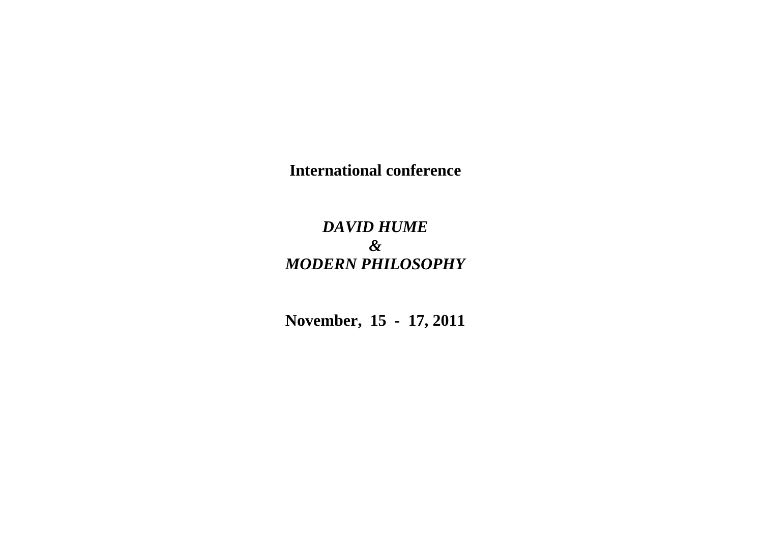**International conference**

## *DAVID HUME & MODERN PHILOSOPHY*

**November, 15 - 17, 2011**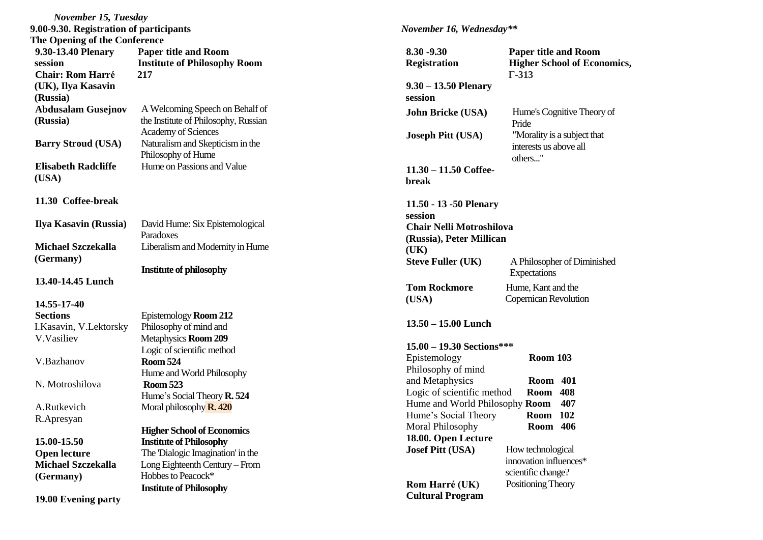| November 15, Tuesday                    |                                                  |  |
|-----------------------------------------|--------------------------------------------------|--|
| 9.00-9.30. Registration of participants |                                                  |  |
| The Opening of the Conference           |                                                  |  |
| 9.30-13.40 Plenary                      | <b>Paper title and Room</b>                      |  |
| session                                 | <b>Institute of Philosophy Room</b>              |  |
| <b>Chair: Rom Harré</b>                 | 217                                              |  |
| (UK), Ilya Kasavin                      |                                                  |  |
| (Russia)                                |                                                  |  |
| <b>Abdusalam Gusejnov</b>               | A Welcoming Speech on Behalf of                  |  |
| (Russia)                                | the Institute of Philosophy, Russian             |  |
|                                         | <b>Academy of Sciences</b>                       |  |
| <b>Barry Stroud (USA)</b>               | Naturalism and Skepticism in the                 |  |
|                                         | Philosophy of Hume<br>Hume on Passions and Value |  |
| <b>Elisabeth Radcliffe</b>              |                                                  |  |
| (USA)                                   |                                                  |  |
| 11.30 Coffee-break                      |                                                  |  |
|                                         |                                                  |  |
| Ilya Kasavin (Russia)                   | David Hume: Six Epistemological                  |  |
|                                         | Paradoxes                                        |  |
| <b>Michael Szczekalla</b>               | Liberalism and Modernity in Hume                 |  |
| (Germany)                               |                                                  |  |
|                                         | <b>Institute of philosophy</b>                   |  |
| 13.40-14.45 Lunch                       |                                                  |  |
|                                         |                                                  |  |
| 14.55-17-40                             |                                                  |  |
| <b>Sections</b>                         | Epistemology Room 212                            |  |
| I.Kasavin, V.Lektorsky<br>V.Vasiliev    | Philosophy of mind and                           |  |
|                                         | Metaphysics Room 209                             |  |
| V.Bazhanov                              | Logic of scientific method<br><b>Room 524</b>    |  |
|                                         | Hume and World Philosophy                        |  |
| N. Motroshilova                         | <b>Room 523</b>                                  |  |
|                                         | Hume's Social Theory R. 524                      |  |
| A.Rutkevich                             | Moral philosophy <b>R. 420</b>                   |  |
| R.Apresyan                              |                                                  |  |
|                                         | <b>Higher School of Economics</b>                |  |
| 15.00-15.50                             | <b>Institute of Philosophy</b>                   |  |
| <b>Open lecture</b>                     | The Dialogic Imagination' in the                 |  |
| <b>Michael Szczekalla</b>               | Long Eighteenth Century - From                   |  |
| (Germany)                               | Hobbes to Peacock*                               |  |
|                                         | <b>Institute of Philosophy</b>                   |  |
| 19.00 Evening party                     |                                                  |  |
|                                         |                                                  |  |

## *November 1 6, Wednesday\*\**

| 8.30 -9.30<br><b>Registration</b>                                 | <b>Paper title and Room</b><br><b>Higher School of Economics,</b><br>$\Gamma$ -313 |
|-------------------------------------------------------------------|------------------------------------------------------------------------------------|
| $9.30 - 13.50$ Plenary<br>session                                 |                                                                                    |
| John Bricke (USA)                                                 | Hume's Cognitive Theory of<br>Pride                                                |
| <b>Joseph Pitt (USA)</b>                                          | "Morality is a subject that<br>interests us above all<br>others"                   |
| $11.30 - 11.50$ Coffee-<br>break                                  |                                                                                    |
| 11.50 - 13 - 50 Plenary<br>session                                |                                                                                    |
| Chair Nelli Motroshilova<br>(Russia), Peter Millican<br>(UK)      |                                                                                    |
| <b>Steve Fuller (UK)</b>                                          | A Philosopher of Diminished<br>Expectations                                        |
| <b>Tom Rockmore</b><br>(USA)                                      | Hume, Kant and the<br>Copernican Revolution                                        |
| $13.50 - 15.00$ Lunch                                             |                                                                                    |
| $15.00 - 19.30$ Sections***<br>Epistemology<br>Philosophy of mind | <b>Room 103</b>                                                                    |
| and Metaphysics<br>Logic of scientific method                     | <b>Room</b> 401<br>408<br>Room                                                     |
| Hume and World Philosophy Room                                    | 407                                                                                |
| Hume's Social Theory                                              | 102<br>Room                                                                        |
| Moral Philosophy<br>18.00. Open Lecture                           | 406<br>Room                                                                        |
| <b>Josef Pitt (USA)</b>                                           | How technological<br>innovation influences*<br>scientific change?                  |
| Rom Harré (UK)                                                    | Positioning Theory                                                                 |
| <b>Cultural Program</b>                                           |                                                                                    |